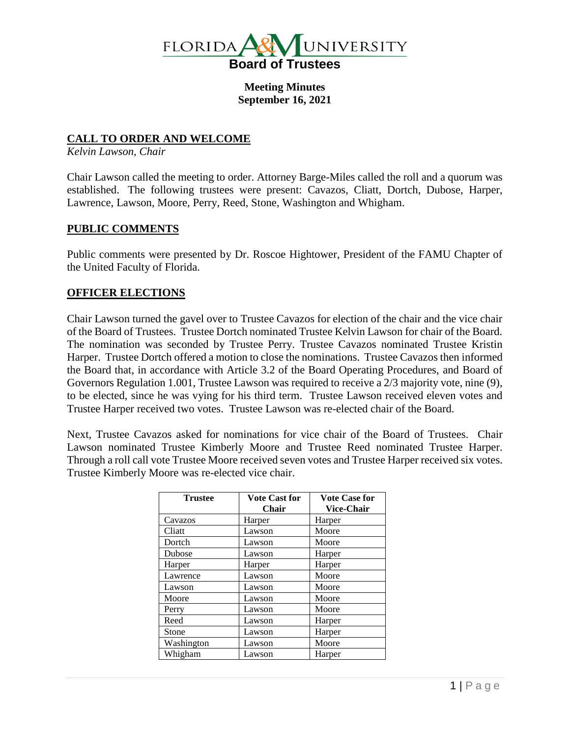

**Meeting Minutes September 16, 2021**

# **CALL TO ORDER AND WELCOME**

*Kelvin Lawson, Chair*

Chair Lawson called the meeting to order. Attorney Barge-Miles called the roll and a quorum was established. The following trustees were present: Cavazos, Cliatt, Dortch, Dubose, Harper, Lawrence, Lawson, Moore, Perry, Reed, Stone, Washington and Whigham.

# **PUBLIC COMMENTS**

Public comments were presented by Dr. Roscoe Hightower, President of the FAMU Chapter of the United Faculty of Florida.

# **OFFICER ELECTIONS**

Chair Lawson turned the gavel over to Trustee Cavazos for election of the chair and the vice chair of the Board of Trustees. Trustee Dortch nominated Trustee Kelvin Lawson for chair of the Board. The nomination was seconded by Trustee Perry. Trustee Cavazos nominated Trustee Kristin Harper. Trustee Dortch offered a motion to close the nominations. Trustee Cavazos then informed the Board that, in accordance with Article 3.2 of the Board Operating Procedures, and Board of Governors Regulation 1.001, Trustee Lawson was required to receive a 2/3 majority vote, nine (9), to be elected, since he was vying for his third term. Trustee Lawson received eleven votes and Trustee Harper received two votes. Trustee Lawson was re-elected chair of the Board.

Next, Trustee Cavazos asked for nominations for vice chair of the Board of Trustees. Chair Lawson nominated Trustee Kimberly Moore and Trustee Reed nominated Trustee Harper. Through a roll call vote Trustee Moore received seven votes and Trustee Harper received six votes. Trustee Kimberly Moore was re-elected vice chair.

| <b>Trustee</b> | <b>Vote Cast for</b> | <b>Vote Case for</b> |
|----------------|----------------------|----------------------|
|                | <b>Chair</b>         | <b>Vice-Chair</b>    |
| Cavazos        | Harper               | Harper               |
| Cliatt         | Lawson               | Moore                |
| Dortch         | Lawson               | Moore                |
| Dubose         | Lawson               | Harper               |
| Harper         | Harper               | Harper               |
| Lawrence       | Lawson               | Moore                |
| Lawson         | Lawson               | Moore                |
| Moore          | Lawson               | Moore                |
| Perry          | Lawson               | Moore                |
| Reed           | Lawson               | Harper               |
| Stone          | Lawson               | Harper               |
| Washington     | Lawson               | Moore                |
| Whigham        | Lawson               | Harper               |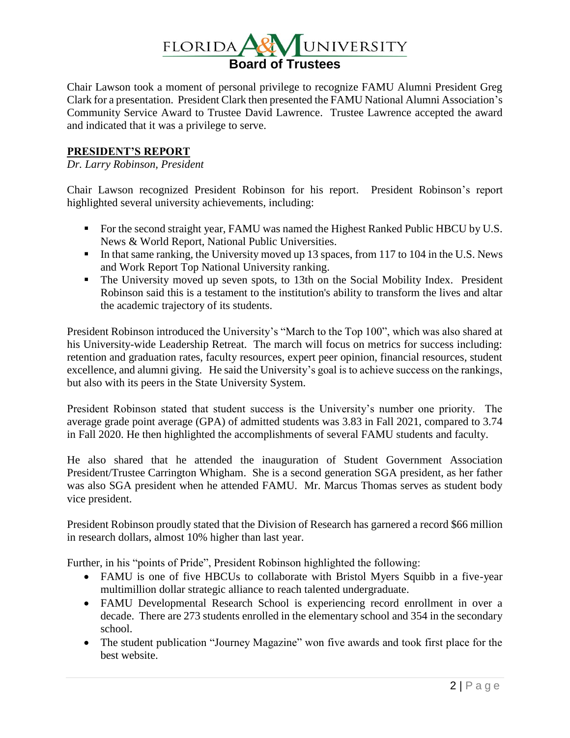

Chair Lawson took a moment of personal privilege to recognize FAMU Alumni President Greg Clark for a presentation. President Clark then presented the FAMU National Alumni Association's Community Service Award to Trustee David Lawrence. Trustee Lawrence accepted the award and indicated that it was a privilege to serve.

# **PRESIDENT'S REPORT**

#### *Dr. Larry Robinson, President*

Chair Lawson recognized President Robinson for his report. President Robinson's report highlighted several university achievements, including:

- For the second straight year, FAMU was named the Highest Ranked Public HBCU by U.S. News & World Report, National Public Universities.
- In that same ranking, the University moved up 13 spaces, from 117 to 104 in the U.S. News and Work Report Top National University ranking.
- The University moved up seven spots, to 13th on the Social Mobility Index. President Robinson said this is a testament to the institution's ability to transform the lives and altar the academic trajectory of its students.

President Robinson introduced the University's "March to the Top 100", which was also shared at his University-wide Leadership Retreat. The march will focus on metrics for success including: retention and graduation rates, faculty resources, expert peer opinion, financial resources, student excellence, and alumni giving. He said the University's goal is to achieve success on the rankings, but also with its peers in the State University System.

President Robinson stated that student success is the University's number one priority. The average grade point average (GPA) of admitted students was 3.83 in Fall 2021, compared to 3.74 in Fall 2020. He then highlighted the accomplishments of several FAMU students and faculty.

He also shared that he attended the inauguration of Student Government Association President/Trustee Carrington Whigham. She is a second generation SGA president, as her father was also SGA president when he attended FAMU. Mr. Marcus Thomas serves as student body vice president.

President Robinson proudly stated that the Division of Research has garnered a record \$66 million in research dollars, almost 10% higher than last year.

Further, in his "points of Pride", President Robinson highlighted the following:

- FAMU is one of five HBCUs to collaborate with Bristol Myers Squibb in a five-year multimillion dollar strategic alliance to reach talented undergraduate.
- FAMU Developmental Research School is experiencing record enrollment in over a decade. There are 273 students enrolled in the elementary school and 354 in the secondary school.
- The student publication "Journey Magazine" won five awards and took first place for the best website.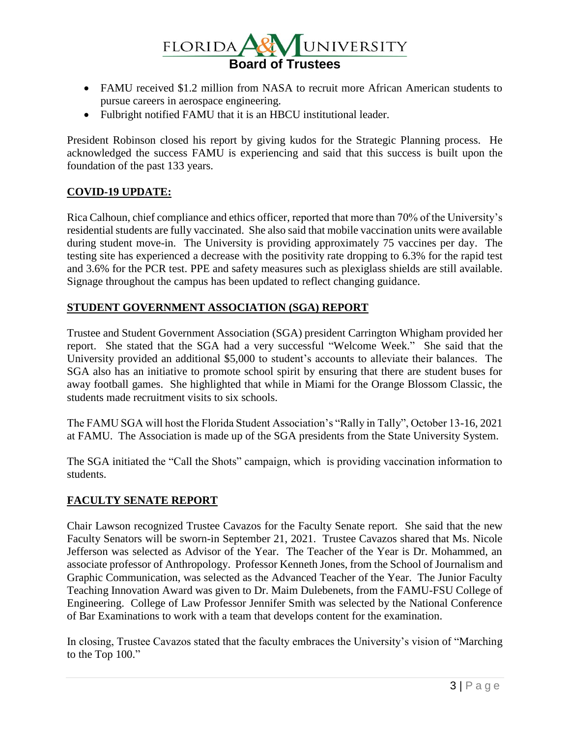

- FAMU received \$1.2 million from NASA to recruit more African American students to pursue careers in aerospace engineering.
- Fulbright notified FAMU that it is an HBCU institutional leader.

President Robinson closed his report by giving kudos for the Strategic Planning process. He acknowledged the success FAMU is experiencing and said that this success is built upon the foundation of the past 133 years.

# **COVID-19 UPDATE:**

Rica Calhoun, chief compliance and ethics officer, reported that more than 70% of the University's residential students are fully vaccinated. She also said that mobile vaccination units were available during student move-in. The University is providing approximately 75 vaccines per day. The testing site has experienced a decrease with the positivity rate dropping to 6.3% for the rapid test and 3.6% for the PCR test. PPE and safety measures such as plexiglass shields are still available. Signage throughout the campus has been updated to reflect changing guidance.

# **STUDENT GOVERNMENT ASSOCIATION (SGA) REPORT**

Trustee and Student Government Association (SGA) president Carrington Whigham provided her report. She stated that the SGA had a very successful "Welcome Week." She said that the University provided an additional \$5,000 to student's accounts to alleviate their balances. The SGA also has an initiative to promote school spirit by ensuring that there are student buses for away football games. She highlighted that while in Miami for the Orange Blossom Classic, the students made recruitment visits to six schools.

The FAMU SGA will host the Florida Student Association's "Rally in Tally", October 13-16, 2021 at FAMU. The Association is made up of the SGA presidents from the State University System.

The SGA initiated the "Call the Shots" campaign, which is providing vaccination information to students.

# **FACULTY SENATE REPORT**

Chair Lawson recognized Trustee Cavazos for the Faculty Senate report. She said that the new Faculty Senators will be sworn-in September 21, 2021. Trustee Cavazos shared that Ms. Nicole Jefferson was selected as Advisor of the Year. The Teacher of the Year is Dr. Mohammed, an associate professor of Anthropology. Professor Kenneth Jones, from the School of Journalism and Graphic Communication, was selected as the Advanced Teacher of the Year. The Junior Faculty Teaching Innovation Award was given to Dr. Maim Dulebenets, from the FAMU-FSU College of Engineering. College of Law Professor Jennifer Smith was selected by the National Conference of Bar Examinations to work with a team that develops content for the examination.

In closing, Trustee Cavazos stated that the faculty embraces the University's vision of "Marching to the Top 100."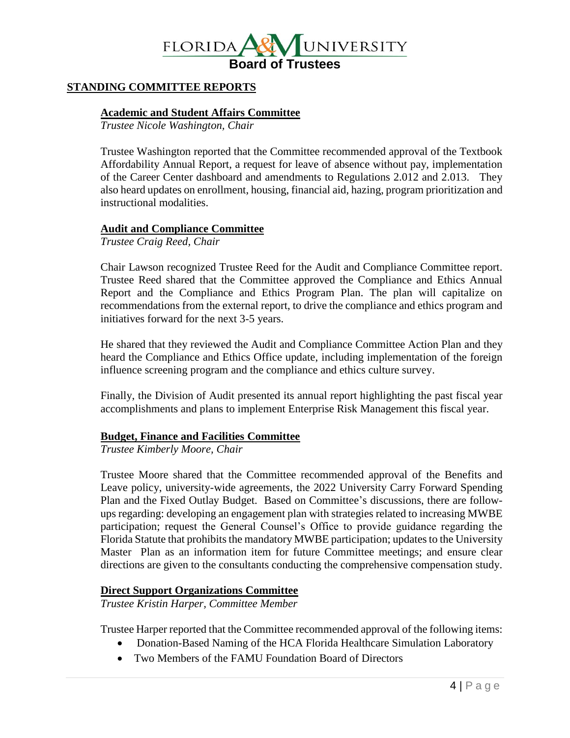

# **STANDING COMMITTEE REPORTS**

#### **Academic and Student Affairs Committee**

*Trustee Nicole Washington, Chair*

Trustee Washington reported that the Committee recommended approval of the Textbook Affordability Annual Report, a request for leave of absence without pay, implementation of the Career Center dashboard and amendments to Regulations 2.012 and 2.013. They also heard updates on enrollment, housing, financial aid, hazing, program prioritization and instructional modalities.

#### **Audit and Compliance Committee**

*Trustee Craig Reed, Chair*

Chair Lawson recognized Trustee Reed for the Audit and Compliance Committee report. Trustee Reed shared that the Committee approved the Compliance and Ethics Annual Report and the Compliance and Ethics Program Plan. The plan will capitalize on recommendations from the external report, to drive the compliance and ethics program and initiatives forward for the next 3-5 years.

He shared that they reviewed the Audit and Compliance Committee Action Plan and they heard the Compliance and Ethics Office update, including implementation of the foreign influence screening program and the compliance and ethics culture survey.

Finally, the Division of Audit presented its annual report highlighting the past fiscal year accomplishments and plans to implement Enterprise Risk Management this fiscal year.

#### **Budget, Finance and Facilities Committee**

*Trustee Kimberly Moore, Chair*

Trustee Moore shared that the Committee recommended approval of the Benefits and Leave policy, university-wide agreements, the 2022 University Carry Forward Spending Plan and the Fixed Outlay Budget. Based on Committee's discussions, there are followups regarding: developing an engagement plan with strategies related to increasing MWBE participation; request the General Counsel's Office to provide guidance regarding the Florida Statute that prohibits the mandatory MWBE participation; updates to the University Master Plan as an information item for future Committee meetings; and ensure clear directions are given to the consultants conducting the comprehensive compensation study.

#### **Direct Support Organizations Committee**

*Trustee Kristin Harper, Committee Member*

Trustee Harper reported that the Committee recommended approval of the following items:

- Donation-Based Naming of the HCA Florida Healthcare Simulation Laboratory
- Two Members of the FAMU Foundation Board of Directors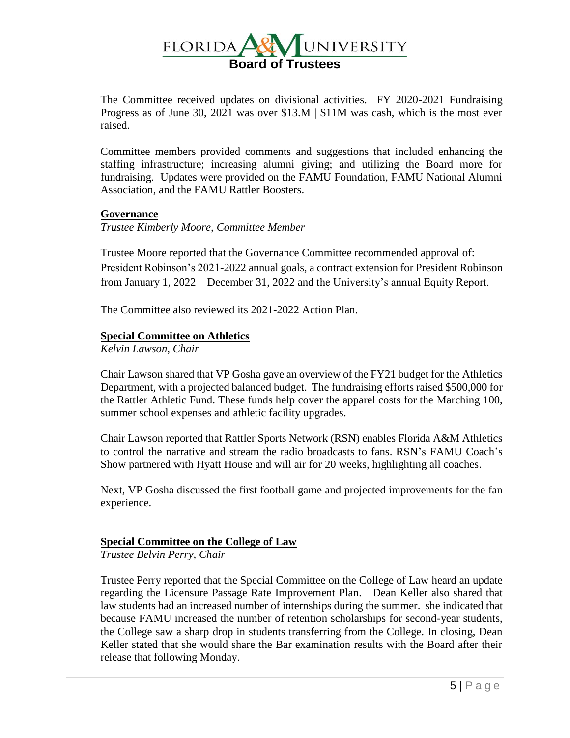

The Committee received updates on divisional activities. FY 2020-2021 Fundraising Progress as of June 30, 2021 was over \$13.M | \$11M was cash, which is the most ever raised.

Committee members provided comments and suggestions that included enhancing the staffing infrastructure; increasing alumni giving; and utilizing the Board more for fundraising. Updates were provided on the FAMU Foundation, FAMU National Alumni Association, and the FAMU Rattler Boosters.

#### **Governance**

*Trustee Kimberly Moore, Committee Member*

Trustee Moore reported that the Governance Committee recommended approval of: President Robinson's 2021-2022 annual goals, a contract extension for President Robinson from January 1, 2022 – December 31, 2022 and the University's annual Equity Report.

The Committee also reviewed its 2021-2022 Action Plan.

# **Special Committee on Athletics**

*Kelvin Lawson, Chair*

Chair Lawson shared that VP Gosha gave an overview of the FY21 budget for the Athletics Department, with a projected balanced budget. The fundraising efforts raised \$500,000 for the Rattler Athletic Fund. These funds help cover the apparel costs for the Marching 100, summer school expenses and athletic facility upgrades.

Chair Lawson reported that Rattler Sports Network (RSN) enables Florida A&M Athletics to control the narrative and stream the radio broadcasts to fans. RSN's FAMU Coach's Show partnered with Hyatt House and will air for 20 weeks, highlighting all coaches.

Next, VP Gosha discussed the first football game and projected improvements for the fan experience.

# **Special Committee on the College of Law**

*Trustee Belvin Perry, Chair*

Trustee Perry reported that the Special Committee on the College of Law heard an update regarding the Licensure Passage Rate Improvement Plan. Dean Keller also shared that law students had an increased number of internships during the summer. she indicated that because FAMU increased the number of retention scholarships for second-year students, the College saw a sharp drop in students transferring from the College. In closing, Dean Keller stated that she would share the Bar examination results with the Board after their release that following Monday.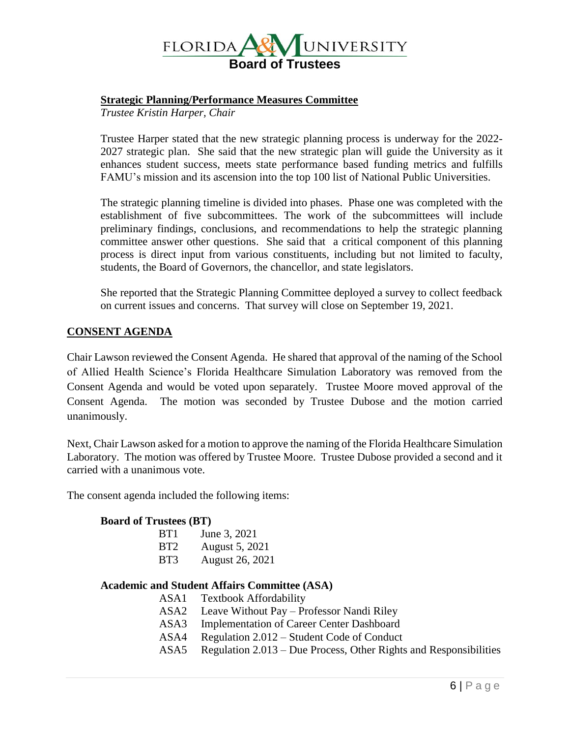

#### **Strategic Planning/Performance Measures Committee**

*Trustee Kristin Harper, Chair*

Trustee Harper stated that the new strategic planning process is underway for the 2022- 2027 strategic plan. She said that the new strategic plan will guide the University as it enhances student success, meets state performance based funding metrics and fulfills FAMU's mission and its ascension into the top 100 list of National Public Universities.

The strategic planning timeline is divided into phases. Phase one was completed with the establishment of five subcommittees. The work of the subcommittees will include preliminary findings, conclusions, and recommendations to help the strategic planning committee answer other questions. She said that a critical component of this planning process is direct input from various constituents, including but not limited to faculty, students, the Board of Governors, the chancellor, and state legislators.

She reported that the Strategic Planning Committee deployed a survey to collect feedback on current issues and concerns. That survey will close on September 19, 2021.

#### **CONSENT AGENDA**

Chair Lawson reviewed the Consent Agenda. He shared that approval of the naming of the School of Allied Health Science's Florida Healthcare Simulation Laboratory was removed from the Consent Agenda and would be voted upon separately. Trustee Moore moved approval of the Consent Agenda. The motion was seconded by Trustee Dubose and the motion carried unanimously.

Next, Chair Lawson asked for a motion to approve the naming of the Florida Healthcare Simulation Laboratory. The motion was offered by Trustee Moore. Trustee Dubose provided a second and it carried with a unanimous vote.

The consent agenda included the following items:

#### **Board of Trustees (BT)**

| BT1             | June 3, 2021           |
|-----------------|------------------------|
| BT <sub>2</sub> | August 5, 2021         |
| BT3             | <b>August 26, 2021</b> |

# **Academic and Student Affairs Committee (ASA)**

- ASA1 Textbook Affordability
- ASA2 Leave Without Pay Professor Nandi Riley
- ASA3 Implementation of Career Center Dashboard
- ASA4 Regulation 2.012 Student Code of Conduct
- ASA5 Regulation 2.013 Due Process, Other Rights and Responsibilities